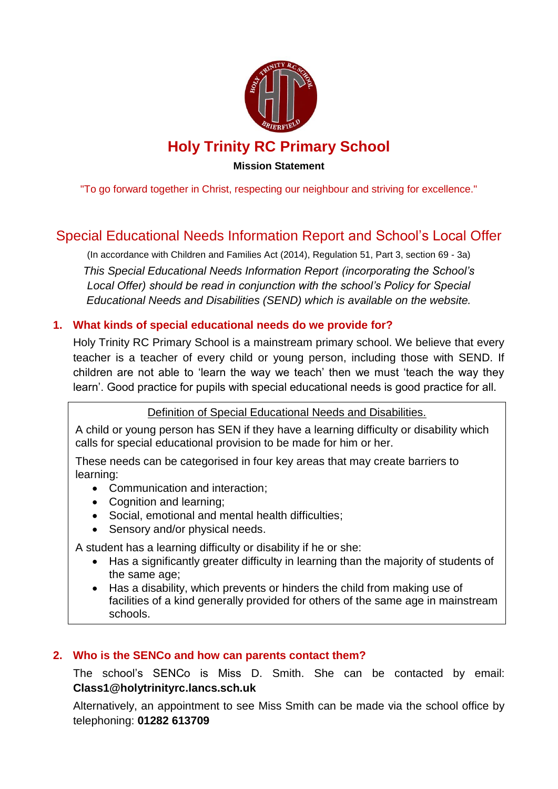

**Mission Statement**

"To go forward together in Christ, respecting our neighbour and striving for excellence."

# Special Educational Needs Information Report and School's Local Offer

(In accordance with Children and Families Act (2014), Regulation 51, Part 3, section 69 - 3a) *This Special Educational Needs Information Report (incorporating the School's Local Offer) should be read in conjunction with the school's Policy for Special Educational Needs and Disabilities (SEND) which is available on the website.*

### **1. What kinds of special educational needs do we provide for?**

Holy Trinity RC Primary School is a mainstream primary school. We believe that every teacher is a teacher of every child or young person, including those with SEND. If children are not able to 'learn the way we teach' then we must 'teach the way they learn'. Good practice for pupils with special educational needs is good practice for all.

Definition of Special Educational Needs and Disabilities.

A child or young person has SEN if they have a learning difficulty or disability which calls for special educational provision to be made for him or her.

These needs can be categorised in four key areas that may create barriers to learning:

- Communication and interaction;
- Cognition and learning;
- Social, emotional and mental health difficulties;
- Sensory and/or physical needs.

A student has a learning difficulty or disability if he or she:

- Has a significantly greater difficulty in learning than the majority of students of the same age;
- Has a disability, which prevents or hinders the child from making use of facilities of a kind generally provided for others of the same age in mainstream schools.

### **2. Who is the SENCo and how can parents contact them?**

The school's SENCo is Miss D. Smith. She can be contacted by email: **Class1@holytrinityrc.lancs.sch.uk**

Alternatively, an appointment to see Miss Smith can be made via the school office by telephoning: **01282 613709**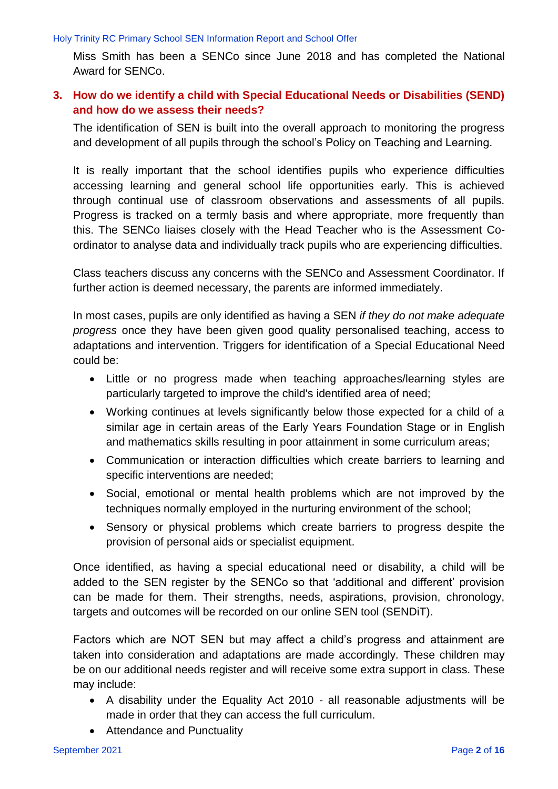Miss Smith has been a SENCo since June 2018 and has completed the National Award for SENCo.

### **3. How do we identify a child with Special Educational Needs or Disabilities (SEND) and how do we assess their needs?**

The identification of SEN is built into the overall approach to monitoring the progress and development of all pupils through the school's Policy on Teaching and Learning.

It is really important that the school identifies pupils who experience difficulties accessing learning and general school life opportunities early. This is achieved through continual use of classroom observations and assessments of all pupils. Progress is tracked on a termly basis and where appropriate, more frequently than this. The SENCo liaises closely with the Head Teacher who is the Assessment Coordinator to analyse data and individually track pupils who are experiencing difficulties.

Class teachers discuss any concerns with the SENCo and Assessment Coordinator. If further action is deemed necessary, the parents are informed immediately.

In most cases, pupils are only identified as having a SEN *if they do not make adequate progress* once they have been given good quality personalised teaching, access to adaptations and intervention. Triggers for identification of a Special Educational Need could be:

- Little or no progress made when teaching approaches/learning styles are particularly targeted to improve the child's identified area of need;
- Working continues at levels significantly below those expected for a child of a similar age in certain areas of the Early Years Foundation Stage or in English and mathematics skills resulting in poor attainment in some curriculum areas;
- Communication or interaction difficulties which create barriers to learning and specific interventions are needed;
- Social, emotional or mental health problems which are not improved by the techniques normally employed in the nurturing environment of the school;
- Sensory or physical problems which create barriers to progress despite the provision of personal aids or specialist equipment.

Once identified, as having a special educational need or disability, a child will be added to the SEN register by the SENCo so that 'additional and different' provision can be made for them. Their strengths, needs, aspirations, provision, chronology, targets and outcomes will be recorded on our online SEN tool (SENDiT).

Factors which are NOT SEN but may affect a child's progress and attainment are taken into consideration and adaptations are made accordingly. These children may be on our additional needs register and will receive some extra support in class. These may include:

- A disability under the Equality Act 2010 all reasonable adjustments will be made in order that they can access the full curriculum.
- Attendance and Punctuality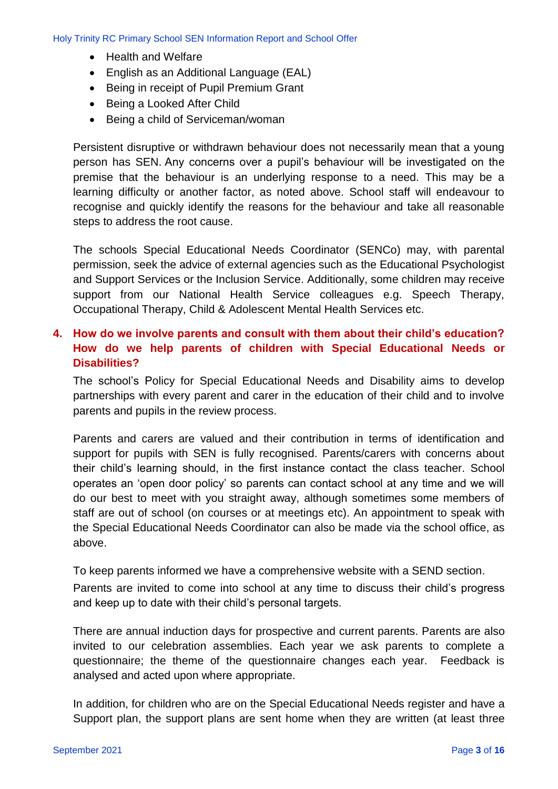- Health and Welfare
- English as an Additional Language (EAL)
- Being in receipt of Pupil Premium Grant
- Being a Looked After Child
- Being a child of Serviceman/woman

Persistent disruptive or withdrawn behaviour does not necessarily mean that a young person has SEN. Any concerns over a pupil's behaviour will be investigated on the premise that the behaviour is an underlying response to a need. This may be a learning difficulty or another factor, as noted above. School staff will endeavour to recognise and quickly identify the reasons for the behaviour and take all reasonable steps to address the root cause.

The schools Special Educational Needs Coordinator (SENCo) may, with parental permission, seek the advice of external agencies such as the Educational Psychologist and Support Services or the Inclusion Service. Additionally, some children may receive support from our National Health Service colleagues e.g. Speech Therapy, Occupational Therapy, Child & Adolescent Mental Health Services etc.

### **4. How do we involve parents and consult with them about their child's education? How do we help parents of children with Special Educational Needs or Disabilities?**

The school's Policy for Special Educational Needs and Disability aims to develop partnerships with every parent and carer in the education of their child and to involve parents and pupils in the review process.

Parents and carers are valued and their contribution in terms of identification and support for pupils with SEN is fully recognised. Parents/carers with concerns about their child's learning should, in the first instance contact the class teacher. School operates an 'open door policy' so parents can contact school at any time and we will do our best to meet with you straight away, although sometimes some members of staff are out of school (on courses or at meetings etc). An appointment to speak with the Special Educational Needs Coordinator can also be made via the school office, as above.

To keep parents informed we have a comprehensive website with a SEND section.

Parents are invited to come into school at any time to discuss their child's progress and keep up to date with their child's personal targets.

There are annual induction days for prospective and current parents. Parents are also invited to our celebration assemblies. Each year we ask parents to complete a questionnaire; the theme of the questionnaire changes each year. Feedback is analysed and acted upon where appropriate.

In addition, for children who are on the Special Educational Needs register and have a Support plan, the support plans are sent home when they are written (at least three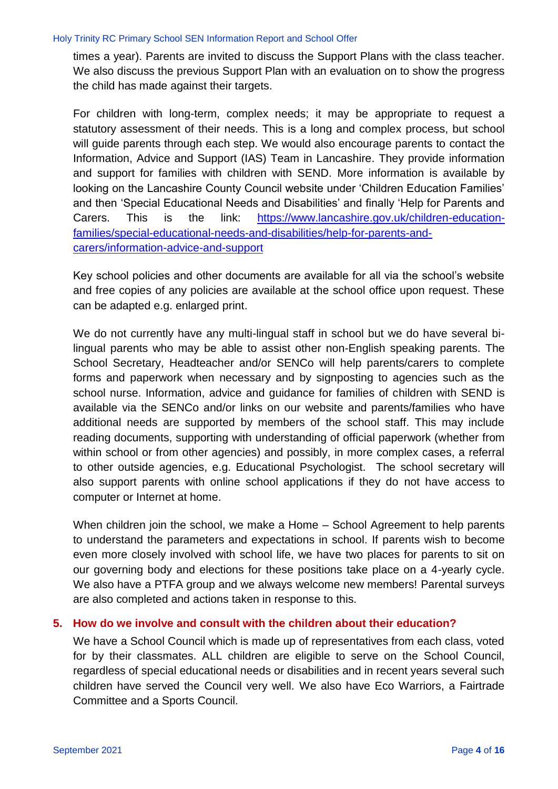times a year). Parents are invited to discuss the Support Plans with the class teacher. We also discuss the previous Support Plan with an evaluation on to show the progress the child has made against their targets.

For children with long-term, complex needs; it may be appropriate to request a statutory assessment of their needs. This is a long and complex process, but school will guide parents through each step. We would also encourage parents to contact the Information, Advice and Support (IAS) Team in Lancashire. They provide information and support for families with children with SEND. More information is available by looking on the Lancashire County Council website under 'Children Education Families' and then 'Special Educational Needs and Disabilities' and finally 'Help for Parents and Carers. This is the link: [https://www.lancashire.gov.uk/children-education](https://www.lancashire.gov.uk/children-education-families/special-educational-needs-and-disabilities/help-for-parents-and-carers/information-advice-and-support)[families/special-educational-needs-and-disabilities/help-for-parents-and](https://www.lancashire.gov.uk/children-education-families/special-educational-needs-and-disabilities/help-for-parents-and-carers/information-advice-and-support)[carers/information-advice-and-support](https://www.lancashire.gov.uk/children-education-families/special-educational-needs-and-disabilities/help-for-parents-and-carers/information-advice-and-support)

Key school policies and other documents are available for all via the school's website and free copies of any policies are available at the school office upon request. These can be adapted e.g. enlarged print.

We do not currently have any multi-lingual staff in school but we do have several bilingual parents who may be able to assist other non-English speaking parents. The School Secretary, Headteacher and/or SENCo will help parents/carers to complete forms and paperwork when necessary and by signposting to agencies such as the school nurse. Information, advice and guidance for families of children with SEND is available via the SENCo and/or links on our website and parents/families who have additional needs are supported by members of the school staff. This may include reading documents, supporting with understanding of official paperwork (whether from within school or from other agencies) and possibly, in more complex cases, a referral to other outside agencies, e.g. Educational Psychologist. The school secretary will also support parents with online school applications if they do not have access to computer or Internet at home.

When children join the school, we make a Home – School Agreement to help parents to understand the parameters and expectations in school. If parents wish to become even more closely involved with school life, we have two places for parents to sit on our governing body and elections for these positions take place on a 4-yearly cycle. We also have a PTFA group and we always welcome new members! Parental surveys are also completed and actions taken in response to this.

#### **5. How do we involve and consult with the children about their education?**

We have a School Council which is made up of representatives from each class, voted for by their classmates. ALL children are eligible to serve on the School Council, regardless of special educational needs or disabilities and in recent years several such children have served the Council very well. We also have Eco Warriors, a Fairtrade Committee and a Sports Council.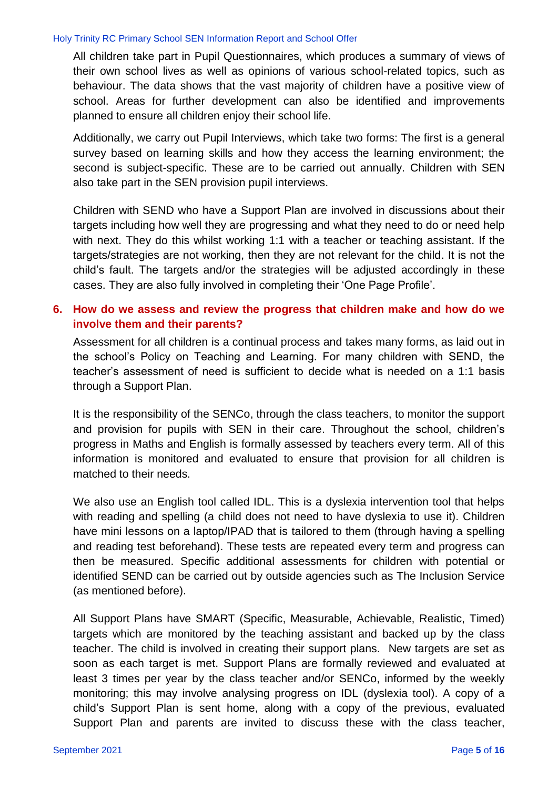All children take part in Pupil Questionnaires, which produces a summary of views of their own school lives as well as opinions of various school-related topics, such as behaviour. The data shows that the vast majority of children have a positive view of school. Areas for further development can also be identified and improvements planned to ensure all children enjoy their school life.

Additionally, we carry out Pupil Interviews, which take two forms: The first is a general survey based on learning skills and how they access the learning environment; the second is subject-specific. These are to be carried out annually. Children with SEN also take part in the SEN provision pupil interviews.

Children with SEND who have a Support Plan are involved in discussions about their targets including how well they are progressing and what they need to do or need help with next. They do this whilst working 1:1 with a teacher or teaching assistant. If the targets/strategies are not working, then they are not relevant for the child. It is not the child's fault. The targets and/or the strategies will be adjusted accordingly in these cases. They are also fully involved in completing their 'One Page Profile'.

### **6. How do we assess and review the progress that children make and how do we involve them and their parents?**

Assessment for all children is a continual process and takes many forms, as laid out in the school's Policy on Teaching and Learning. For many children with SEND, the teacher's assessment of need is sufficient to decide what is needed on a 1:1 basis through a Support Plan.

It is the responsibility of the SENCo, through the class teachers, to monitor the support and provision for pupils with SEN in their care. Throughout the school, children's progress in Maths and English is formally assessed by teachers every term. All of this information is monitored and evaluated to ensure that provision for all children is matched to their needs.

We also use an English tool called IDL. This is a dyslexia intervention tool that helps with reading and spelling (a child does not need to have dyslexia to use it). Children have mini lessons on a laptop/IPAD that is tailored to them (through having a spelling and reading test beforehand). These tests are repeated every term and progress can then be measured. Specific additional assessments for children with potential or identified SEND can be carried out by outside agencies such as The Inclusion Service (as mentioned before).

All Support Plans have SMART (Specific, Measurable, Achievable, Realistic, Timed) targets which are monitored by the teaching assistant and backed up by the class teacher. The child is involved in creating their support plans. New targets are set as soon as each target is met. Support Plans are formally reviewed and evaluated at least 3 times per year by the class teacher and/or SENCo, informed by the weekly monitoring; this may involve analysing progress on IDL (dyslexia tool). A copy of a child's Support Plan is sent home, along with a copy of the previous, evaluated Support Plan and parents are invited to discuss these with the class teacher,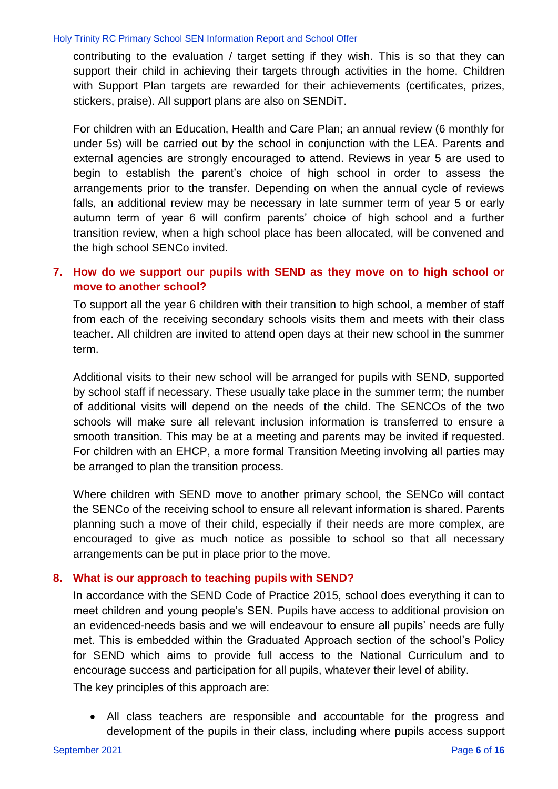contributing to the evaluation / target setting if they wish. This is so that they can support their child in achieving their targets through activities in the home. Children with Support Plan targets are rewarded for their achievements (certificates, prizes, stickers, praise). All support plans are also on SENDiT.

For children with an Education, Health and Care Plan; an annual review (6 monthly for under 5s) will be carried out by the school in conjunction with the LEA. Parents and external agencies are strongly encouraged to attend. Reviews in year 5 are used to begin to establish the parent's choice of high school in order to assess the arrangements prior to the transfer. Depending on when the annual cycle of reviews falls, an additional review may be necessary in late summer term of year 5 or early autumn term of year 6 will confirm parents' choice of high school and a further transition review, when a high school place has been allocated, will be convened and the high school SENCo invited.

### **7. How do we support our pupils with SEND as they move on to high school or move to another school?**

To support all the year 6 children with their transition to high school, a member of staff from each of the receiving secondary schools visits them and meets with their class teacher. All children are invited to attend open days at their new school in the summer term.

Additional visits to their new school will be arranged for pupils with SEND, supported by school staff if necessary. These usually take place in the summer term; the number of additional visits will depend on the needs of the child. The SENCOs of the two schools will make sure all relevant inclusion information is transferred to ensure a smooth transition. This may be at a meeting and parents may be invited if requested. For children with an EHCP, a more formal Transition Meeting involving all parties may be arranged to plan the transition process.

Where children with SEND move to another primary school, the SENCo will contact the SENCo of the receiving school to ensure all relevant information is shared. Parents planning such a move of their child, especially if their needs are more complex, are encouraged to give as much notice as possible to school so that all necessary arrangements can be put in place prior to the move.

### **8. What is our approach to teaching pupils with SEND?**

In accordance with the SEND Code of Practice 2015, school does everything it can to meet children and young people's SEN. Pupils have access to additional provision on an evidenced-needs basis and we will endeavour to ensure all pupils' needs are fully met. This is embedded within the Graduated Approach section of the school's Policy for SEND which aims to provide full access to the National Curriculum and to encourage success and participation for all pupils, whatever their level of ability.

The key principles of this approach are:

 All class teachers are responsible and accountable for the progress and development of the pupils in their class, including where pupils access support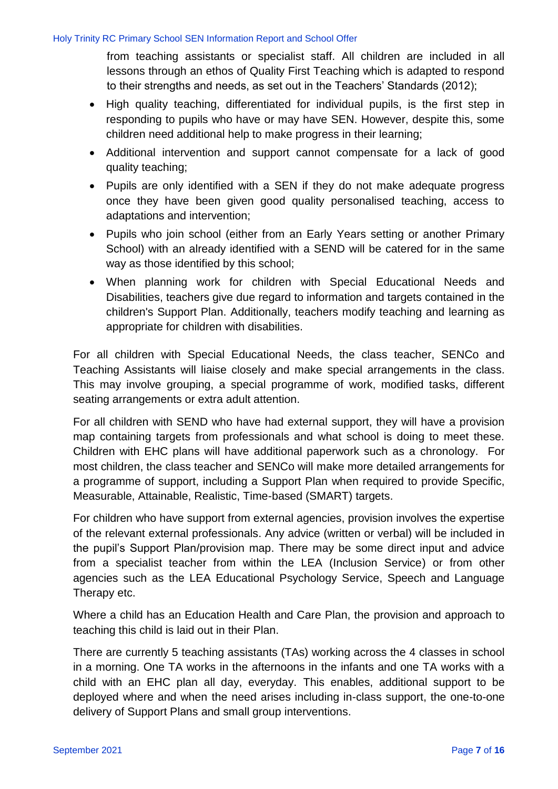from teaching assistants or specialist staff. All children are included in all lessons through an ethos of Quality First Teaching which is adapted to respond to their strengths and needs, as set out in the Teachers' Standards (2012);

- High quality teaching, differentiated for individual pupils, is the first step in responding to pupils who have or may have SEN. However, despite this, some children need additional help to make progress in their learning;
- Additional intervention and support cannot compensate for a lack of good quality teaching;
- Pupils are only identified with a SEN if they do not make adequate progress once they have been given good quality personalised teaching, access to adaptations and intervention;
- Pupils who join school (either from an Early Years setting or another Primary School) with an already identified with a SEND will be catered for in the same way as those identified by this school;
- When planning work for children with Special Educational Needs and Disabilities, teachers give due regard to information and targets contained in the children's Support Plan. Additionally, teachers modify teaching and learning as appropriate for children with disabilities.

For all children with Special Educational Needs, the class teacher, SENCo and Teaching Assistants will liaise closely and make special arrangements in the class. This may involve grouping, a special programme of work, modified tasks, different seating arrangements or extra adult attention.

For all children with SEND who have had external support, they will have a provision map containing targets from professionals and what school is doing to meet these. Children with EHC plans will have additional paperwork such as a chronology. For most children, the class teacher and SENCo will make more detailed arrangements for a programme of support, including a Support Plan when required to provide Specific, Measurable, Attainable, Realistic, Time-based (SMART) targets.

For children who have support from external agencies, provision involves the expertise of the relevant external professionals. Any advice (written or verbal) will be included in the pupil's Support Plan/provision map. There may be some direct input and advice from a specialist teacher from within the LEA (Inclusion Service) or from other agencies such as the LEA Educational Psychology Service, Speech and Language Therapy etc.

Where a child has an Education Health and Care Plan, the provision and approach to teaching this child is laid out in their Plan.

There are currently 5 teaching assistants (TAs) working across the 4 classes in school in a morning. One TA works in the afternoons in the infants and one TA works with a child with an EHC plan all day, everyday. This enables, additional support to be deployed where and when the need arises including in-class support, the one-to-one delivery of Support Plans and small group interventions.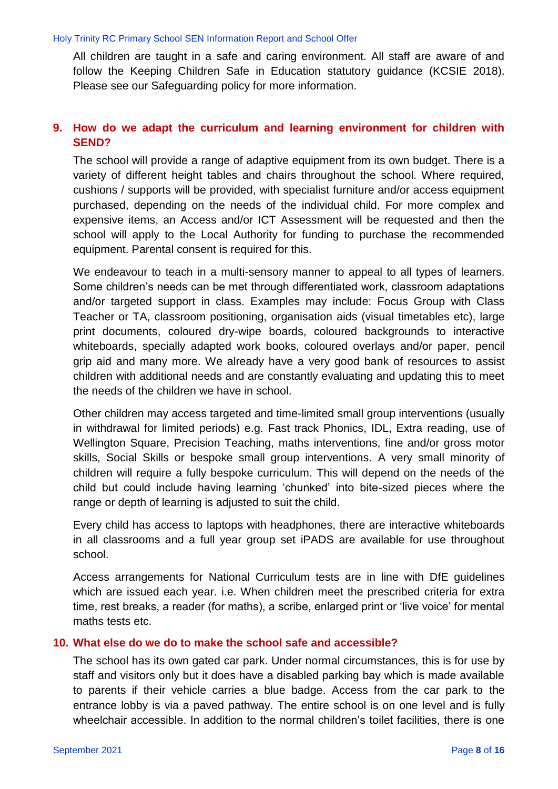All children are taught in a safe and caring environment. All staff are aware of and follow the Keeping Children Safe in Education statutory guidance (KCSIE 2018). Please see our Safeguarding policy for more information.

### **9. How do we adapt the curriculum and learning environment for children with SEND?**

The school will provide a range of adaptive equipment from its own budget. There is a variety of different height tables and chairs throughout the school. Where required, cushions / supports will be provided, with specialist furniture and/or access equipment purchased, depending on the needs of the individual child. For more complex and expensive items, an Access and/or ICT Assessment will be requested and then the school will apply to the Local Authority for funding to purchase the recommended equipment. Parental consent is required for this.

We endeavour to teach in a multi-sensory manner to appeal to all types of learners. Some children's needs can be met through differentiated work, classroom adaptations and/or targeted support in class. Examples may include: Focus Group with Class Teacher or TA, classroom positioning, organisation aids (visual timetables etc), large print documents, coloured dry-wipe boards, coloured backgrounds to interactive whiteboards, specially adapted work books, coloured overlays and/or paper, pencil grip aid and many more. We already have a very good bank of resources to assist children with additional needs and are constantly evaluating and updating this to meet the needs of the children we have in school.

Other children may access targeted and time-limited small group interventions (usually in withdrawal for limited periods) e.g. Fast track Phonics, IDL, Extra reading, use of Wellington Square, Precision Teaching, maths interventions, fine and/or gross motor skills, Social Skills or bespoke small group interventions. A very small minority of children will require a fully bespoke curriculum. This will depend on the needs of the child but could include having learning 'chunked' into bite-sized pieces where the range or depth of learning is adjusted to suit the child.

Every child has access to laptops with headphones, there are interactive whiteboards in all classrooms and a full year group set iPADS are available for use throughout school.

Access arrangements for National Curriculum tests are in line with DfE guidelines which are issued each year. i.e. When children meet the prescribed criteria for extra time, rest breaks, a reader (for maths), a scribe, enlarged print or 'live voice' for mental maths tests etc.

#### **10. What else do we do to make the school safe and accessible?**

The school has its own gated car park. Under normal circumstances, this is for use by staff and visitors only but it does have a disabled parking bay which is made available to parents if their vehicle carries a blue badge. Access from the car park to the entrance lobby is via a paved pathway. The entire school is on one level and is fully wheelchair accessible. In addition to the normal children's toilet facilities, there is one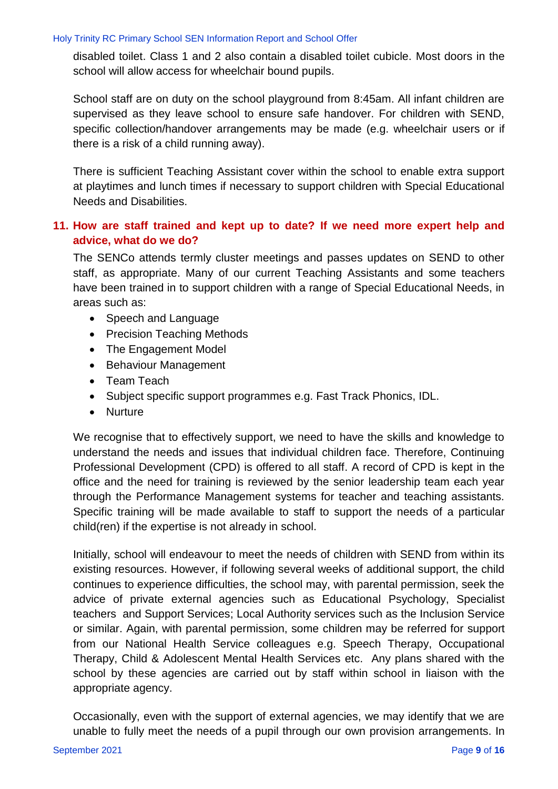disabled toilet. Class 1 and 2 also contain a disabled toilet cubicle. Most doors in the school will allow access for wheelchair bound pupils.

School staff are on duty on the school playground from 8:45am. All infant children are supervised as they leave school to ensure safe handover. For children with SEND, specific collection/handover arrangements may be made (e.g. wheelchair users or if there is a risk of a child running away).

There is sufficient Teaching Assistant cover within the school to enable extra support at playtimes and lunch times if necessary to support children with Special Educational Needs and Disabilities.

### **11. How are staff trained and kept up to date? If we need more expert help and advice, what do we do?**

The SENCo attends termly cluster meetings and passes updates on SEND to other staff, as appropriate. Many of our current Teaching Assistants and some teachers have been trained in to support children with a range of Special Educational Needs, in areas such as:

- Speech and Language
- Precision Teaching Methods
- The Engagement Model
- Behaviour Management
- Team Teach
- Subject specific support programmes e.g. Fast Track Phonics, IDL.
- Nurture

We recognise that to effectively support, we need to have the skills and knowledge to understand the needs and issues that individual children face. Therefore, Continuing Professional Development (CPD) is offered to all staff. A record of CPD is kept in the office and the need for training is reviewed by the senior leadership team each year through the Performance Management systems for teacher and teaching assistants. Specific training will be made available to staff to support the needs of a particular child(ren) if the expertise is not already in school.

Initially, school will endeavour to meet the needs of children with SEND from within its existing resources. However, if following several weeks of additional support, the child continues to experience difficulties, the school may, with parental permission, seek the advice of private external agencies such as Educational Psychology, Specialist teachers and Support Services; Local Authority services such as the Inclusion Service or similar. Again, with parental permission, some children may be referred for support from our National Health Service colleagues e.g. Speech Therapy, Occupational Therapy, Child & Adolescent Mental Health Services etc. Any plans shared with the school by these agencies are carried out by staff within school in liaison with the appropriate agency.

Occasionally, even with the support of external agencies, we may identify that we are unable to fully meet the needs of a pupil through our own provision arrangements. In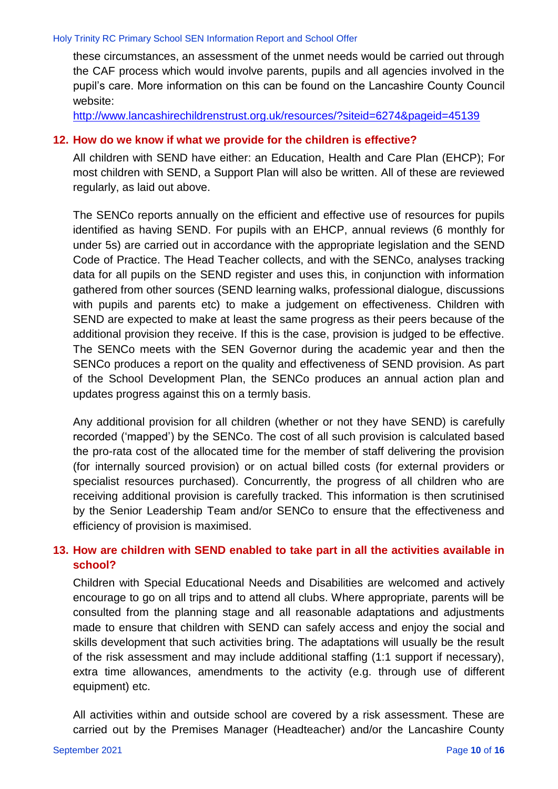these circumstances, an assessment of the unmet needs would be carried out through the CAF process which would involve parents, pupils and all agencies involved in the pupil's care. More information on this can be found on the Lancashire County Council website:

<http://www.lancashirechildrenstrust.org.uk/resources/?siteid=6274&pageid=45139>

#### **12. How do we know if what we provide for the children is effective?**

All children with SEND have either: an Education, Health and Care Plan (EHCP); For most children with SEND, a Support Plan will also be written. All of these are reviewed regularly, as laid out above.

The SENCo reports annually on the efficient and effective use of resources for pupils identified as having SEND. For pupils with an EHCP, annual reviews (6 monthly for under 5s) are carried out in accordance with the appropriate legislation and the SEND Code of Practice. The Head Teacher collects, and with the SENCo, analyses tracking data for all pupils on the SEND register and uses this, in conjunction with information gathered from other sources (SEND learning walks, professional dialogue, discussions with pupils and parents etc) to make a judgement on effectiveness. Children with SEND are expected to make at least the same progress as their peers because of the additional provision they receive. If this is the case, provision is judged to be effective. The SENCo meets with the SEN Governor during the academic year and then the SENCo produces a report on the quality and effectiveness of SEND provision. As part of the School Development Plan, the SENCo produces an annual action plan and updates progress against this on a termly basis.

Any additional provision for all children (whether or not they have SEND) is carefully recorded ('mapped') by the SENCo. The cost of all such provision is calculated based the pro-rata cost of the allocated time for the member of staff delivering the provision (for internally sourced provision) or on actual billed costs (for external providers or specialist resources purchased). Concurrently, the progress of all children who are receiving additional provision is carefully tracked. This information is then scrutinised by the Senior Leadership Team and/or SENCo to ensure that the effectiveness and efficiency of provision is maximised.

### **13. How are children with SEND enabled to take part in all the activities available in school?**

Children with Special Educational Needs and Disabilities are welcomed and actively encourage to go on all trips and to attend all clubs. Where appropriate, parents will be consulted from the planning stage and all reasonable adaptations and adjustments made to ensure that children with SEND can safely access and enjoy the social and skills development that such activities bring. The adaptations will usually be the result of the risk assessment and may include additional staffing (1:1 support if necessary), extra time allowances, amendments to the activity (e.g. through use of different equipment) etc.

All activities within and outside school are covered by a risk assessment. These are carried out by the Premises Manager (Headteacher) and/or the Lancashire County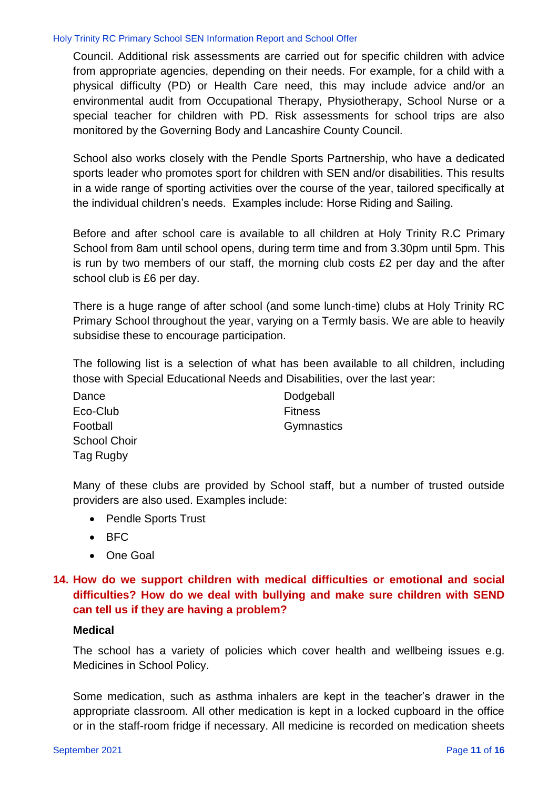Council. Additional risk assessments are carried out for specific children with advice from appropriate agencies, depending on their needs. For example, for a child with a physical difficulty (PD) or Health Care need, this may include advice and/or an environmental audit from Occupational Therapy, Physiotherapy, School Nurse or a special teacher for children with PD. Risk assessments for school trips are also monitored by the Governing Body and Lancashire County Council.

School also works closely with the Pendle Sports Partnership, who have a dedicated sports leader who promotes sport for children with SEN and/or disabilities. This results in a wide range of sporting activities over the course of the year, tailored specifically at the individual children's needs. Examples include: Horse Riding and Sailing.

Before and after school care is available to all children at Holy Trinity R.C Primary School from 8am until school opens, during term time and from 3.30pm until 5pm. This is run by two members of our staff, the morning club costs £2 per day and the after school club is £6 per day.

There is a huge range of after school (and some lunch-time) clubs at Holy Trinity RC Primary School throughout the year, varying on a Termly basis. We are able to heavily subsidise these to encourage participation.

The following list is a selection of what has been available to all children, including those with Special Educational Needs and Disabilities, over the last year:

Dance Dodgeball Eco-Club Fitness Football **Gymnastics** School Choir Tag Rugby

Many of these clubs are provided by School staff, but a number of trusted outside providers are also used. Examples include:

- Pendle Sports Trust
- $-BFC$
- One Goal

### **14. How do we support children with medical difficulties or emotional and social difficulties? How do we deal with bullying and make sure children with SEND can tell us if they are having a problem?**

#### **Medical**

The school has a variety of policies which cover health and wellbeing issues e.g. Medicines in School Policy.

Some medication, such as asthma inhalers are kept in the teacher's drawer in the appropriate classroom. All other medication is kept in a locked cupboard in the office or in the staff-room fridge if necessary. All medicine is recorded on medication sheets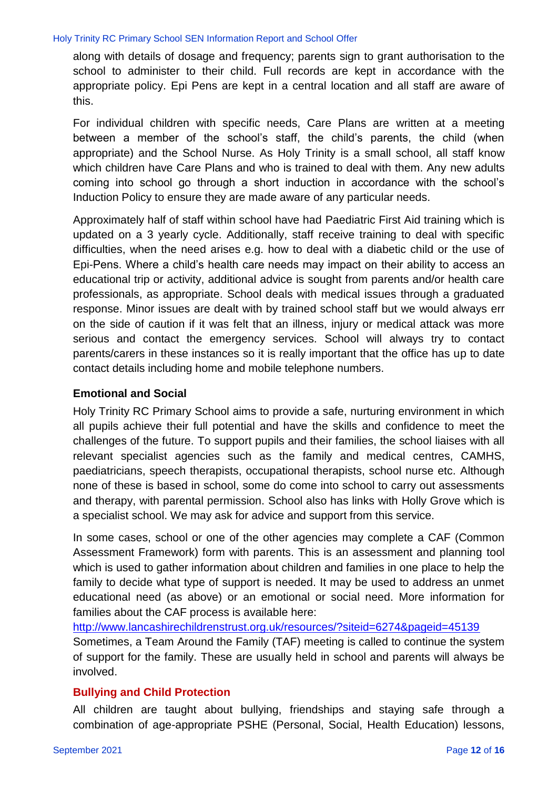along with details of dosage and frequency; parents sign to grant authorisation to the school to administer to their child. Full records are kept in accordance with the appropriate policy. Epi Pens are kept in a central location and all staff are aware of this.

For individual children with specific needs, Care Plans are written at a meeting between a member of the school's staff, the child's parents, the child (when appropriate) and the School Nurse. As Holy Trinity is a small school, all staff know which children have Care Plans and who is trained to deal with them. Any new adults coming into school go through a short induction in accordance with the school's Induction Policy to ensure they are made aware of any particular needs.

Approximately half of staff within school have had Paediatric First Aid training which is updated on a 3 yearly cycle. Additionally, staff receive training to deal with specific difficulties, when the need arises e.g. how to deal with a diabetic child or the use of Epi-Pens. Where a child's health care needs may impact on their ability to access an educational trip or activity, additional advice is sought from parents and/or health care professionals, as appropriate. School deals with medical issues through a graduated response. Minor issues are dealt with by trained school staff but we would always err on the side of caution if it was felt that an illness, injury or medical attack was more serious and contact the emergency services. School will always try to contact parents/carers in these instances so it is really important that the office has up to date contact details including home and mobile telephone numbers.

#### **Emotional and Social**

Holy Trinity RC Primary School aims to provide a safe, nurturing environment in which all pupils achieve their full potential and have the skills and confidence to meet the challenges of the future. To support pupils and their families, the school liaises with all relevant specialist agencies such as the family and medical centres, CAMHS, paediatricians, speech therapists, occupational therapists, school nurse etc. Although none of these is based in school, some do come into school to carry out assessments and therapy, with parental permission. School also has links with Holly Grove which is a specialist school. We may ask for advice and support from this service.

In some cases, school or one of the other agencies may complete a CAF (Common Assessment Framework) form with parents. This is an assessment and planning tool which is used to gather information about children and families in one place to help the family to decide what type of support is needed. It may be used to address an unmet educational need (as above) or an emotional or social need. More information for families about the CAF process is available here:

[http://www.lancashirechildrenstrust.org.uk/resources/?siteid=6274&pageid=45139](http://www.lancashirechildrenstrust.org.uk/resources/?siteid=6274&pageid=45139%20%20)  Sometimes, a Team Around the Family (TAF) meeting is called to continue the system of support for the family. These are usually held in school and parents will always be involved.

#### **Bullying and Child Protection**

All children are taught about bullying, friendships and staying safe through a combination of age-appropriate PSHE (Personal, Social, Health Education) lessons,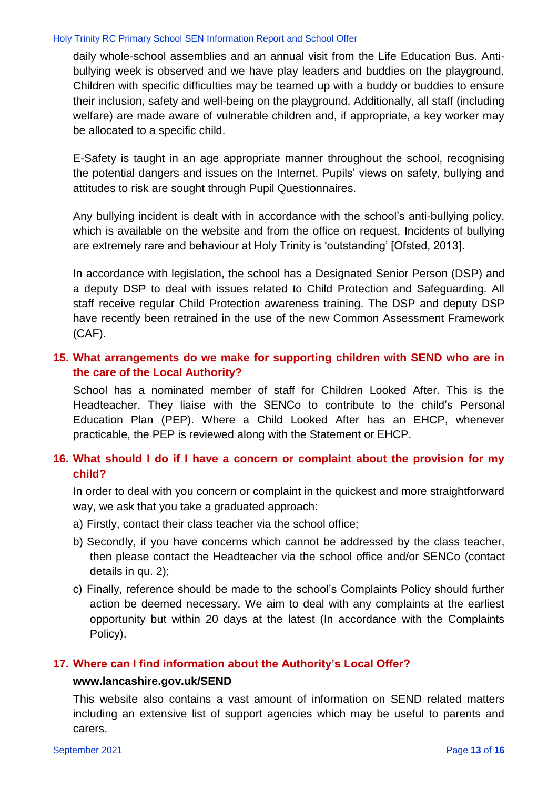daily whole-school assemblies and an annual visit from the Life Education Bus. Antibullying week is observed and we have play leaders and buddies on the playground. Children with specific difficulties may be teamed up with a buddy or buddies to ensure their inclusion, safety and well-being on the playground. Additionally, all staff (including welfare) are made aware of vulnerable children and, if appropriate, a key worker may be allocated to a specific child.

E-Safety is taught in an age appropriate manner throughout the school, recognising the potential dangers and issues on the Internet. Pupils' views on safety, bullying and attitudes to risk are sought through Pupil Questionnaires.

Any bullying incident is dealt with in accordance with the school's anti-bullying policy, which is available on the website and from the office on request. Incidents of bullying are extremely rare and behaviour at Holy Trinity is 'outstanding' [Ofsted, 2013].

In accordance with legislation, the school has a Designated Senior Person (DSP) and a deputy DSP to deal with issues related to Child Protection and Safeguarding. All staff receive regular Child Protection awareness training. The DSP and deputy DSP have recently been retrained in the use of the new Common Assessment Framework (CAF).

### **15. What arrangements do we make for supporting children with SEND who are in the care of the Local Authority?**

School has a nominated member of staff for Children Looked After. This is the Headteacher. They liaise with the SENCo to contribute to the child's Personal Education Plan (PEP). Where a Child Looked After has an EHCP, whenever practicable, the PEP is reviewed along with the Statement or EHCP.

### **16. What should I do if I have a concern or complaint about the provision for my child?**

In order to deal with you concern or complaint in the quickest and more straightforward way, we ask that you take a graduated approach:

- a) Firstly, contact their class teacher via the school office;
- b) Secondly, if you have concerns which cannot be addressed by the class teacher, then please contact the Headteacher via the school office and/or SENCo (contact details in qu. 2);
- c) Finally, reference should be made to the school's Complaints Policy should further action be deemed necessary. We aim to deal with any complaints at the earliest opportunity but within 20 days at the latest (In accordance with the Complaints Policy).

#### **17. Where can I find information about the Authority's Local Offer?**

#### **[www.lancashire.gov.uk/SEND](http://www.lancashire.gov.uk/SEND)**

This website also contains a vast amount of information on SEND related matters including an extensive list of support agencies which may be useful to parents and carers.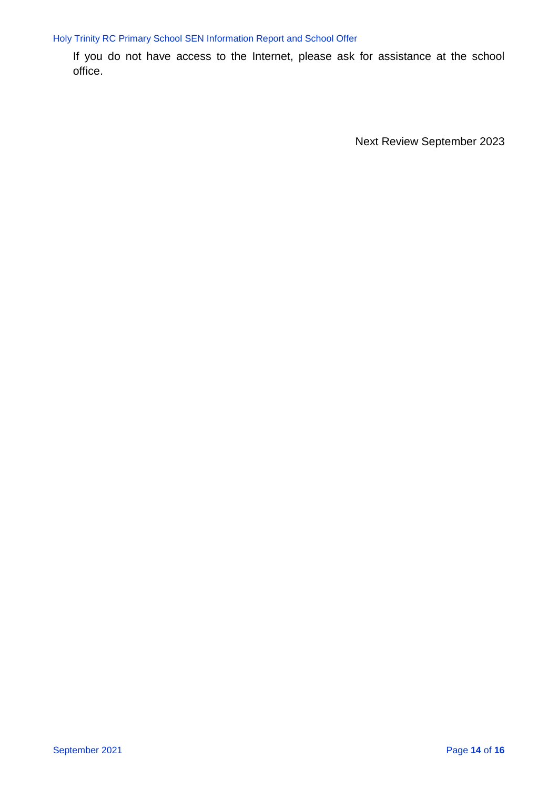If you do not have access to the Internet, please ask for assistance at the school office.

Next Review September 2023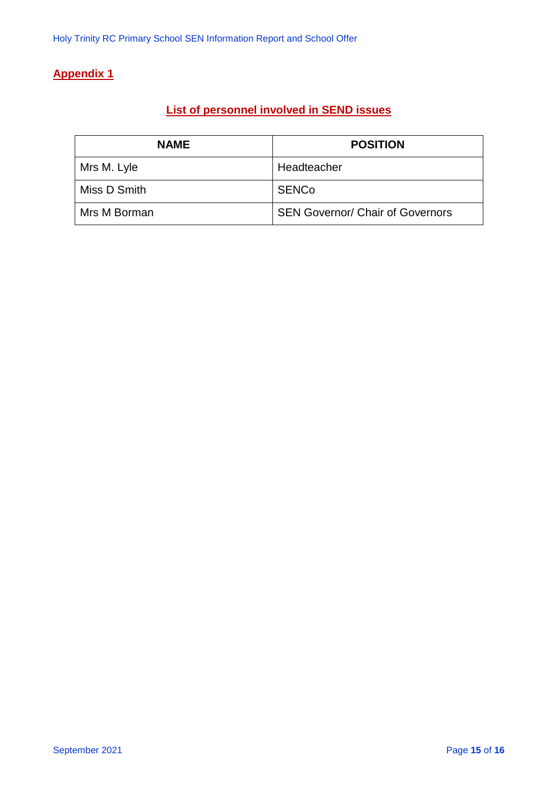# **Appendix 1**

# **List of personnel involved in SEND issues**

| <b>NAME</b>  | <b>POSITION</b>                         |
|--------------|-----------------------------------------|
| Mrs M. Lyle  | Headteacher                             |
| Miss D Smith | <b>SENCo</b>                            |
| Mrs M Borman | <b>SEN Governor/ Chair of Governors</b> |